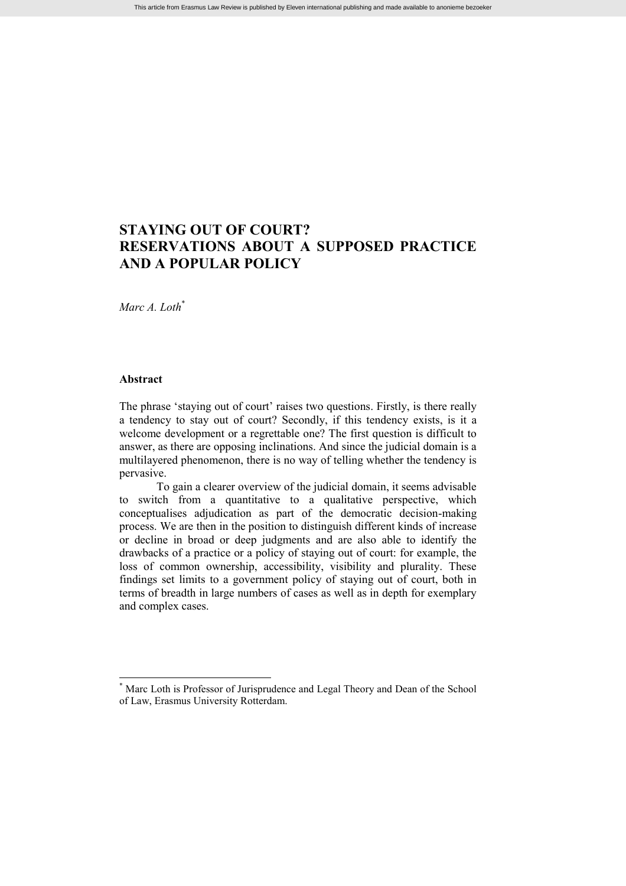# **STAYING OUT OF COURT? RESERVATIONS ABOUT A SUPPOSED PRACTICE AND A POPULAR POLICY**

*Marc A. Loth*\*

# **Abstract**

The phrase 'staying out of court' raises two questions. Firstly, is there really a tendency to stay out of court? Secondly, if this tendency exists, is it a welcome development or a regrettable one? The first question is difficult to answer, as there are opposing inclinations. And since the judicial domain is a multilayered phenomenon, there is no way of telling whether the tendency is pervasive.

To gain a clearer overview of the judicial domain, it seems advisable to switch from a quantitative to a qualitative perspective, which conceptualises adjudication as part of the democratic decision-making process. We are then in the position to distinguish different kinds of increase or decline in broad or deep judgments and are also able to identify the drawbacks of a practice or a policy of staying out of court: for example, the loss of common ownership, accessibility, visibility and plurality. These findings set limits to a government policy of staying out of court, both in terms of breadth in large numbers of cases as well as in depth for exemplary and complex cases.

Marc Loth is Professor of Jurisprudence and Legal Theory and Dean of the School of Law, Erasmus University Rotterdam.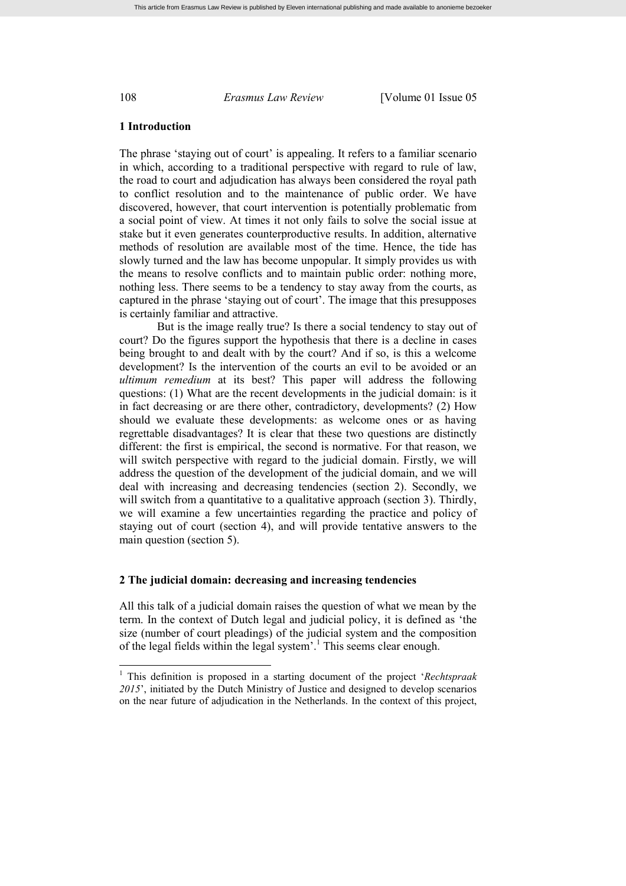#### **1 Introduction**

The phrase 'staying out of court' is appealing. It refers to a familiar scenario in which, according to a traditional perspective with regard to rule of law, the road to court and adjudication has always been considered the royal path to conflict resolution and to the maintenance of public order. We have discovered, however, that court intervention is potentially problematic from a social point of view. At times it not only fails to solve the social issue at stake but it even generates counterproductive results. In addition, alternative methods of resolution are available most of the time. Hence, the tide has slowly turned and the law has become unpopular. It simply provides us with the means to resolve conflicts and to maintain public order: nothing more, nothing less. There seems to be a tendency to stay away from the courts, as captured in the phrase 'staying out of court'. The image that this presupposes is certainly familiar and attractive.

But is the image really true? Is there a social tendency to stay out of court? Do the figures support the hypothesis that there is a decline in cases being brought to and dealt with by the court? And if so, is this a welcome development? Is the intervention of the courts an evil to be avoided or an *ultimum remedium* at its best? This paper will address the following questions: (1) What are the recent developments in the judicial domain: is it in fact decreasing or are there other, contradictory, developments? (2) How should we evaluate these developments: as welcome ones or as having regrettable disadvantages? It is clear that these two questions are distinctly different: the first is empirical, the second is normative. For that reason, we will switch perspective with regard to the judicial domain. Firstly, we will address the question of the development of the judicial domain, and we will deal with increasing and decreasing tendencies (section 2). Secondly, we will switch from a quantitative to a qualitative approach (section 3). Thirdly, we will examine a few uncertainties regarding the practice and policy of staying out of court (section 4), and will provide tentative answers to the main question (section 5).

#### **2 The judicial domain: decreasing and increasing tendencies**

All this talk of a judicial domain raises the question of what we mean by the term. In the context of Dutch legal and judicial policy, it is defined as 'the size (number of court pleadings) of the judicial system and the composition of the legal fields within the legal system'. <sup>1</sup> This seems clear enough.

<sup>1</sup> This definition is proposed in a starting document of the project '*Rechtspraak 2015*', initiated by the Dutch Ministry of Justice and designed to develop scenarios on the near future of adjudication in the Netherlands. In the context of this project,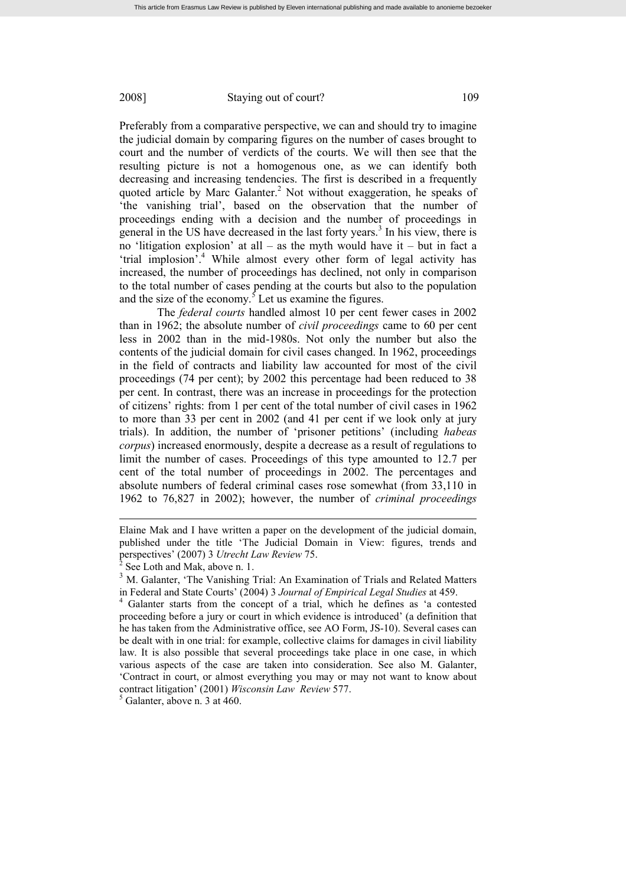Preferably from a comparative perspective, we can and should try to imagine the judicial domain by comparing figures on the number of cases brought to court and the number of verdicts of the courts. We will then see that the resulting picture is not a homogenous one, as we can identify both decreasing and increasing tendencies. The first is described in a frequently quoted article by Marc Galanter.<sup>2</sup> Not without exaggeration, he speaks of 'the vanishing trial', based on the observation that the number of proceedings ending with a decision and the number of proceedings in general in the US have decreased in the last forty years.<sup>3</sup> In his view, there is no 'litigation explosion' at all – as the myth would have it – but in fact a 'trial implosion'. <sup>4</sup> While almost every other form of legal activity has increased, the number of proceedings has declined, not only in comparison to the total number of cases pending at the courts but also to the population and the size of the economy. $5$  Let us examine the figures.

The *federal courts* handled almost 10 per cent fewer cases in 2002 than in 1962; the absolute number of *civil proceedings* came to 60 per cent less in 2002 than in the mid-1980s. Not only the number but also the contents of the judicial domain for civil cases changed. In 1962, proceedings in the field of contracts and liability law accounted for most of the civil proceedings (74 per cent); by 2002 this percentage had been reduced to 38 per cent. In contrast, there was an increase in proceedings for the protection of citizens' rights: from 1 per cent of the total number of civil cases in 1962 to more than 33 per cent in 2002 (and 41 per cent if we look only at jury trials). In addition, the number of 'prisoner petitions' (including *habeas corpus*) increased enormously, despite a decrease as a result of regulations to limit the number of cases. Proceedings of this type amounted to 12.7 per cent of the total number of proceedings in 2002. The percentages and absolute numbers of federal criminal cases rose somewhat (from 33,110 in 1962 to 76,827 in 2002); however, the number of *criminal proceedings*

Elaine Mak and I have written a paper on the development of the judicial domain, published under the title 'The Judicial Domain in View: figures, trends and perspectives' (2007) 3 *Utrecht Law Review* 75.

<sup>2</sup> See Loth and Mak, above n. 1.

<sup>&</sup>lt;sup>3</sup> M. Galanter, 'The Vanishing Trial: An Examination of Trials and Related Matters in Federal and State Courts' (2004) 3 *Journal of Empirical Legal Studies* at 459.

Galanter starts from the concept of a trial, which he defines as 'a contested proceeding before a jury or court in which evidence is introduced' (a definition that he has taken from the Administrative office, see AO Form, JS-10). Several cases can be dealt with in one trial: for example, collective claims for damages in civil liability law. It is also possible that several proceedings take place in one case, in which various aspects of the case are taken into consideration. See also M. Galanter, 'Contract in court, or almost everything you may or may not want to know about contract litigation' (2001) *Wisconsin Law Review* 577.

 $<sup>5</sup>$  Galanter, above n. 3 at 460.</sup>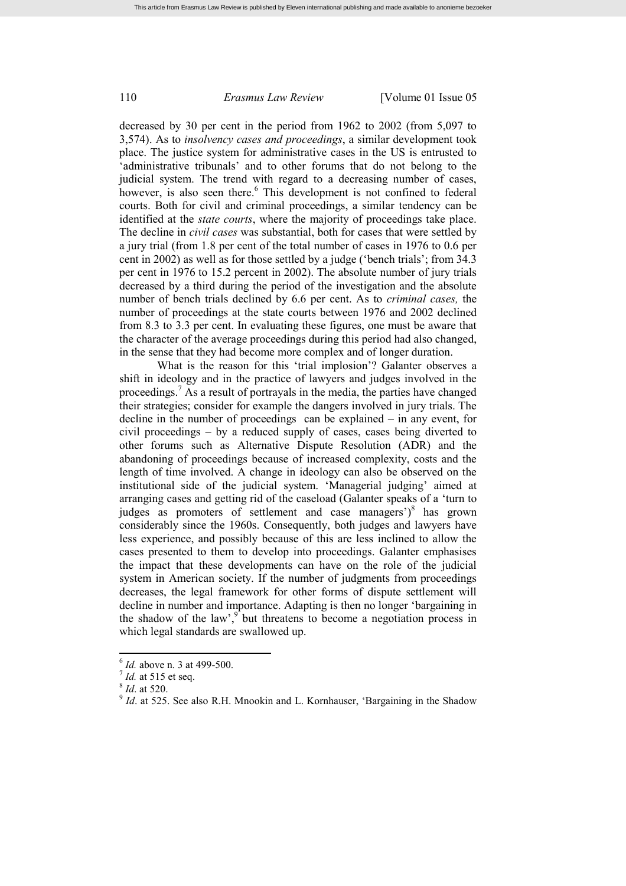decreased by 30 per cent in the period from 1962 to 2002 (from 5,097 to 3,574). As to *insolvency cases and proceedings*, a similar development took place. The justice system for administrative cases in the US is entrusted to 'administrative tribunals' and to other forums that do not belong to the judicial system. The trend with regard to a decreasing number of cases, however, is also seen there.<sup>6</sup> This development is not confined to federal courts. Both for civil and criminal proceedings, a similar tendency can be identified at the *state courts*, where the majority of proceedings take place. The decline in *civil cases* was substantial, both for cases that were settled by a jury trial (from 1.8 per cent of the total number of cases in 1976 to 0.6 per cent in 2002) as well as for those settled by a judge ('bench trials'; from 34.3 per cent in 1976 to 15.2 percent in 2002). The absolute number of jury trials decreased by a third during the period of the investigation and the absolute number of bench trials declined by 6.6 per cent. As to *criminal cases,* the number of proceedings at the state courts between 1976 and 2002 declined from 8.3 to 3.3 per cent. In evaluating these figures, one must be aware that the character of the average proceedings during this period had also changed, in the sense that they had become more complex and of longer duration.

What is the reason for this 'trial implosion'? Galanter observes a shift in ideology and in the practice of lawyers and judges involved in the proceedings.<sup>7</sup> As a result of portravals in the media, the parties have changed their strategies; consider for example the dangers involved in jury trials. The decline in the number of proceedings can be explained – in any event, for civil proceedings – by a reduced supply of cases, cases being diverted to other forums such as Alternative Dispute Resolution (ADR) and the abandoning of proceedings because of increased complexity, costs and the length of time involved. A change in ideology can also be observed on the institutional side of the judicial system. 'Managerial judging' aimed at arranging cases and getting rid of the caseload (Galanter speaks of a 'turn to judges as promoters of settlement and case managers')<sup>8</sup> has grown considerably since the 1960s. Consequently, both judges and lawyers have less experience, and possibly because of this are less inclined to allow the cases presented to them to develop into proceedings. Galanter emphasises the impact that these developments can have on the role of the judicial system in American society. If the number of judgments from proceedings decreases, the legal framework for other forms of dispute settlement will decline in number and importance. Adapting is then no longer 'bargaining in the shadow of the law', $\int$  but threatens to become a negotiation process in which legal standards are swallowed up.

<sup>6</sup> *Id.* above n. 3 at 499-500.

<sup>7</sup> *Id.* at 515 et seq.

<sup>8</sup> *Id*. at 520.

<sup>&</sup>lt;sup>9</sup> *Id.* at 525. See also R.H. Mnookin and L. Kornhauser, 'Bargaining in the Shadow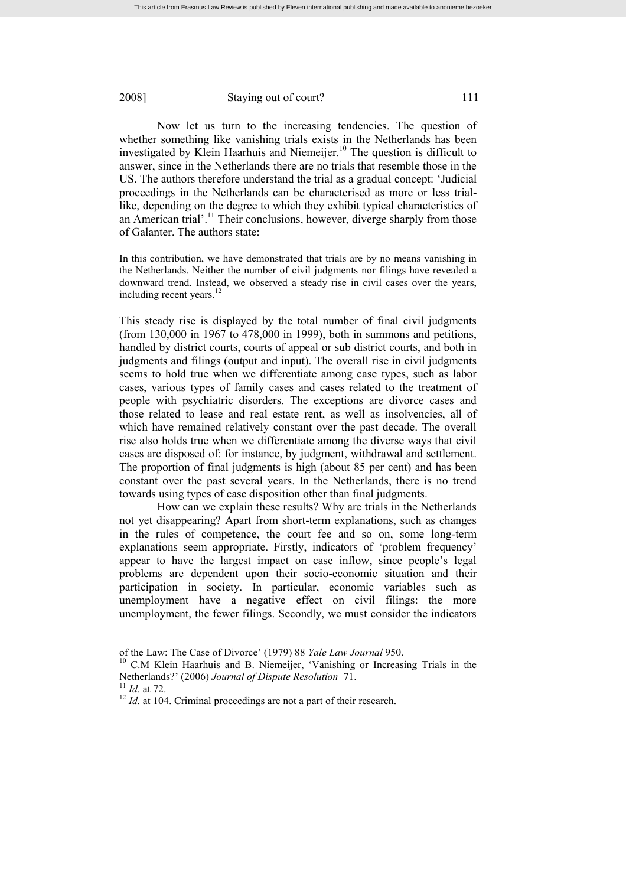Now let us turn to the increasing tendencies. The question of whether something like vanishing trials exists in the Netherlands has been investigated by Klein Haarhuis and Niemeijer.<sup>10</sup> The question is difficult to answer, since in the Netherlands there are no trials that resemble those in the US. The authors therefore understand the trial as a gradual concept: 'Judicial proceedings in the Netherlands can be characterised as more or less triallike, depending on the degree to which they exhibit typical characteristics of an American trial'.<sup>11</sup> Their conclusions, however, diverge sharply from those of Galanter. The authors state:

In this contribution, we have demonstrated that trials are by no means vanishing in the Netherlands. Neither the number of civil judgments nor filings have revealed a downward trend. Instead, we observed a steady rise in civil cases over the years, including recent years.<sup>12</sup>

This steady rise is displayed by the total number of final civil judgments (from 130,000 in 1967 to 478,000 in 1999), both in summons and petitions, handled by district courts, courts of appeal or sub district courts, and both in judgments and filings (output and input). The overall rise in civil judgments seems to hold true when we differentiate among case types, such as labor cases, various types of family cases and cases related to the treatment of people with psychiatric disorders. The exceptions are divorce cases and those related to lease and real estate rent, as well as insolvencies, all of which have remained relatively constant over the past decade. The overall rise also holds true when we differentiate among the diverse ways that civil cases are disposed of: for instance, by judgment, withdrawal and settlement. The proportion of final judgments is high (about 85 per cent) and has been constant over the past several years. In the Netherlands, there is no trend towards using types of case disposition other than final judgments.

How can we explain these results? Why are trials in the Netherlands not yet disappearing? Apart from short-term explanations, such as changes in the rules of competence, the court fee and so on, some long-term explanations seem appropriate. Firstly, indicators of 'problem frequency' appear to have the largest impact on case inflow, since people's legal problems are dependent upon their socio-economic situation and their participation in society. In particular, economic variables such as unemployment have a negative effect on civil filings: the more unemployment, the fewer filings. Secondly, we must consider the indicators

of the Law: The Case of Divorce' (1979) 88 *Yale Law Journal* 950.

<sup>&</sup>lt;sup>10</sup> C.M Klein Haarhuis and B. Niemeijer, 'Vanishing or Increasing Trials in the Netherlands?' (2006) *Journal of Dispute Resolution* 71.

<sup>11</sup> *Id.* at 72.

<sup>&</sup>lt;sup>12</sup> *Id.* at 104. Criminal proceedings are not a part of their research.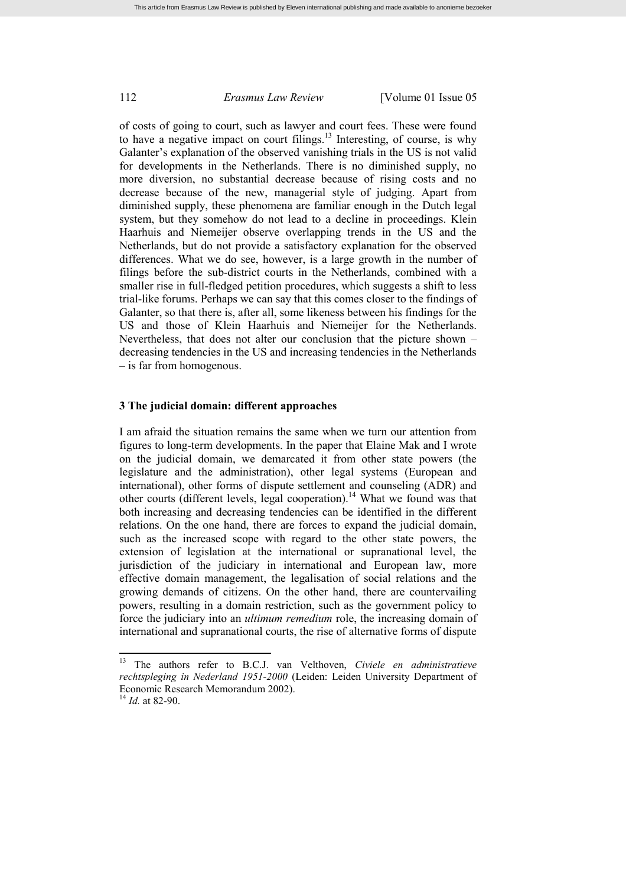of costs of going to court, such as lawyer and court fees. These were found to have a negative impact on court filings.<sup>13</sup> Interesting, of course, is why Galanter's explanation of the observed vanishing trials in the US is not valid for developments in the Netherlands. There is no diminished supply, no more diversion, no substantial decrease because of rising costs and no decrease because of the new, managerial style of judging. Apart from diminished supply, these phenomena are familiar enough in the Dutch legal system, but they somehow do not lead to a decline in proceedings. Klein Haarhuis and Niemeijer observe overlapping trends in the US and the Netherlands, but do not provide a satisfactory explanation for the observed differences. What we do see, however, is a large growth in the number of filings before the sub-district courts in the Netherlands, combined with a smaller rise in full-fledged petition procedures, which suggests a shift to less trial-like forums. Perhaps we can say that this comes closer to the findings of Galanter, so that there is, after all, some likeness between his findings for the US and those of Klein Haarhuis and Niemeijer for the Netherlands. Nevertheless, that does not alter our conclusion that the picture shown – decreasing tendencies in the US and increasing tendencies in the Netherlands – is far from homogenous.

### **3 The judicial domain: different approaches**

I am afraid the situation remains the same when we turn our attention from figures to long-term developments. In the paper that Elaine Mak and I wrote on the judicial domain, we demarcated it from other state powers (the legislature and the administration), other legal systems (European and international), other forms of dispute settlement and counseling (ADR) and other courts (different levels, legal cooperation).<sup>14</sup> What we found was that both increasing and decreasing tendencies can be identified in the different relations. On the one hand, there are forces to expand the judicial domain, such as the increased scope with regard to the other state powers, the extension of legislation at the international or supranational level, the jurisdiction of the judiciary in international and European law, more effective domain management, the legalisation of social relations and the growing demands of citizens. On the other hand, there are countervailing powers, resulting in a domain restriction, such as the government policy to force the judiciary into an *ultimum remedium* role, the increasing domain of international and supranational courts, the rise of alternative forms of dispute

<sup>13</sup> The authors refer to B.C.J. van Velthoven, *Civiele en administratieve rechtspleging in Nederland 1951-2000* (Leiden: Leiden University Department of Economic Research Memorandum 2002).

<sup>14</sup> *Id.* at 82-90.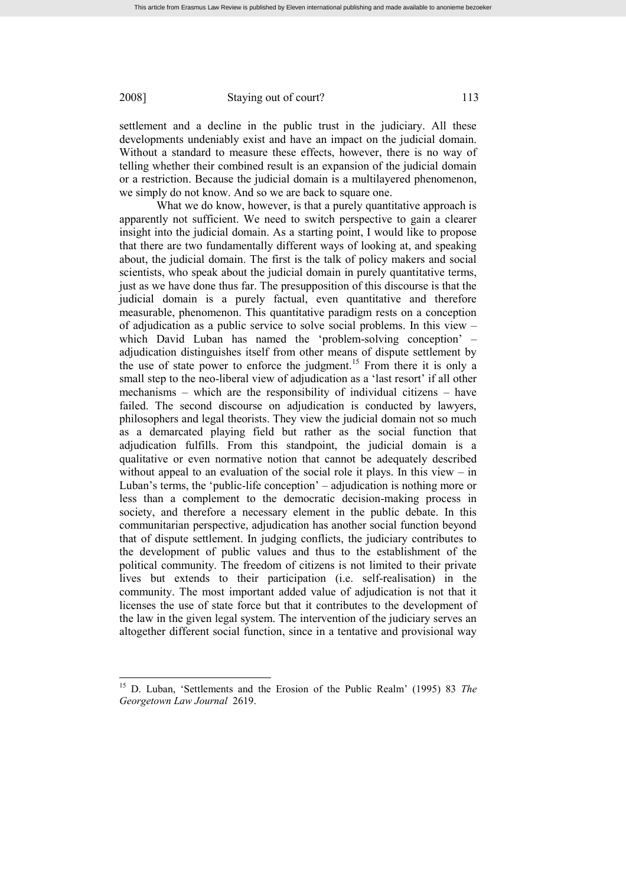settlement and a decline in the public trust in the judiciary. All these developments undeniably exist and have an impact on the judicial domain. Without a standard to measure these effects, however, there is no way of telling whether their combined result is an expansion of the judicial domain or a restriction. Because the judicial domain is a multilayered phenomenon, we simply do not know. And so we are back to square one.

What we do know, however, is that a purely quantitative approach is apparently not sufficient. We need to switch perspective to gain a clearer insight into the judicial domain. As a starting point, I would like to propose that there are two fundamentally different ways of looking at, and speaking about, the judicial domain. The first is the talk of policy makers and social scientists, who speak about the judicial domain in purely quantitative terms, just as we have done thus far. The presupposition of this discourse is that the judicial domain is a purely factual, even quantitative and therefore measurable, phenomenon. This quantitative paradigm rests on a conception of adjudication as a public service to solve social problems. In this view – which David Luban has named the 'problem-solving conception' – adjudication distinguishes itself from other means of dispute settlement by the use of state power to enforce the judgment.<sup>15</sup> From there it is only a small step to the neo-liberal view of adjudication as a 'last resort' if all other mechanisms – which are the responsibility of individual citizens – have failed. The second discourse on adjudication is conducted by lawyers, philosophers and legal theorists. They view the judicial domain not so much as a demarcated playing field but rather as the social function that adjudication fulfills. From this standpoint, the judicial domain is a qualitative or even normative notion that cannot be adequately described without appeal to an evaluation of the social role it plays. In this view  $-$  in Luban's terms, the 'public-life conception' – adjudication is nothing more or less than a complement to the democratic decision-making process in society, and therefore a necessary element in the public debate. In this communitarian perspective, adjudication has another social function beyond that of dispute settlement. In judging conflicts, the judiciary contributes to the development of public values and thus to the establishment of the political community. The freedom of citizens is not limited to their private lives but extends to their participation (i.e. self-realisation) in the community. The most important added value of adjudication is not that it licenses the use of state force but that it contributes to the development of the law in the given legal system. The intervention of the judiciary serves an altogether different social function, since in a tentative and provisional way

<sup>15</sup> D. Luban, 'Settlements and the Erosion of the Public Realm' (1995) 83 *The Georgetown Law Journal* 2619.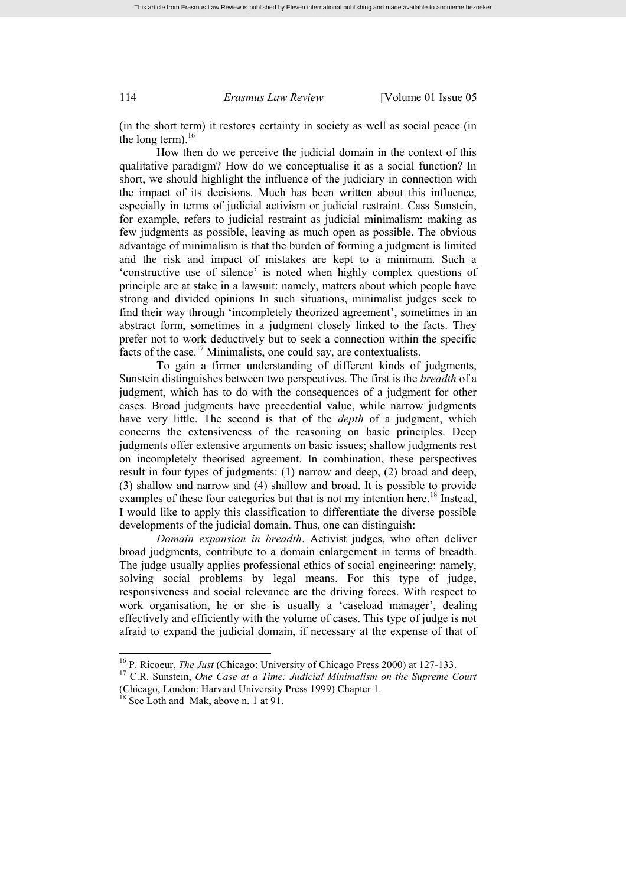(in the short term) it restores certainty in society as well as social peace (in the long term). $^{16}$ 

How then do we perceive the judicial domain in the context of this qualitative paradigm? How do we conceptualise it as a social function? In short, we should highlight the influence of the judiciary in connection with the impact of its decisions. Much has been written about this influence, especially in terms of judicial activism or judicial restraint. Cass Sunstein, for example, refers to judicial restraint as judicial minimalism: making as few judgments as possible, leaving as much open as possible. The obvious advantage of minimalism is that the burden of forming a judgment is limited and the risk and impact of mistakes are kept to a minimum. Such a 'constructive use of silence' is noted when highly complex questions of principle are at stake in a lawsuit: namely, matters about which people have strong and divided opinions In such situations, minimalist judges seek to find their way through 'incompletely theorized agreement', sometimes in an abstract form, sometimes in a judgment closely linked to the facts. They prefer not to work deductively but to seek a connection within the specific facts of the case.<sup>17</sup> Minimalists, one could say, are contextualists.

To gain a firmer understanding of different kinds of judgments, Sunstein distinguishes between two perspectives. The first is the *breadth* of a judgment, which has to do with the consequences of a judgment for other cases. Broad judgments have precedential value, while narrow judgments have very little. The second is that of the *depth* of a judgment, which concerns the extensiveness of the reasoning on basic principles. Deep judgments offer extensive arguments on basic issues; shallow judgments rest on incompletely theorised agreement. In combination, these perspectives result in four types of judgments: (1) narrow and deep, (2) broad and deep, (3) shallow and narrow and (4) shallow and broad. It is possible to provide examples of these four categories but that is not my intention here.<sup>18</sup> Instead, I would like to apply this classification to differentiate the diverse possible developments of the judicial domain. Thus, one can distinguish:

*Domain expansion in breadth*. Activist judges, who often deliver broad judgments, contribute to a domain enlargement in terms of breadth. The judge usually applies professional ethics of social engineering: namely, solving social problems by legal means. For this type of judge, responsiveness and social relevance are the driving forces. With respect to work organisation, he or she is usually a 'caseload manager', dealing effectively and efficiently with the volume of cases. This type of judge is not afraid to expand the judicial domain, if necessary at the expense of that of

<sup>16</sup> P. Ricoeur, *The Just* (Chicago: University of Chicago Press 2000) at 127-133.

<sup>17</sup> C.R. Sunstein, *One Case at a Time: Judicial Minimalism on the Supreme Court* (Chicago, London: Harvard University Press 1999) Chapter 1.

<sup>&</sup>lt;sup>18</sup> See Loth and Mak, above n. 1 at 91.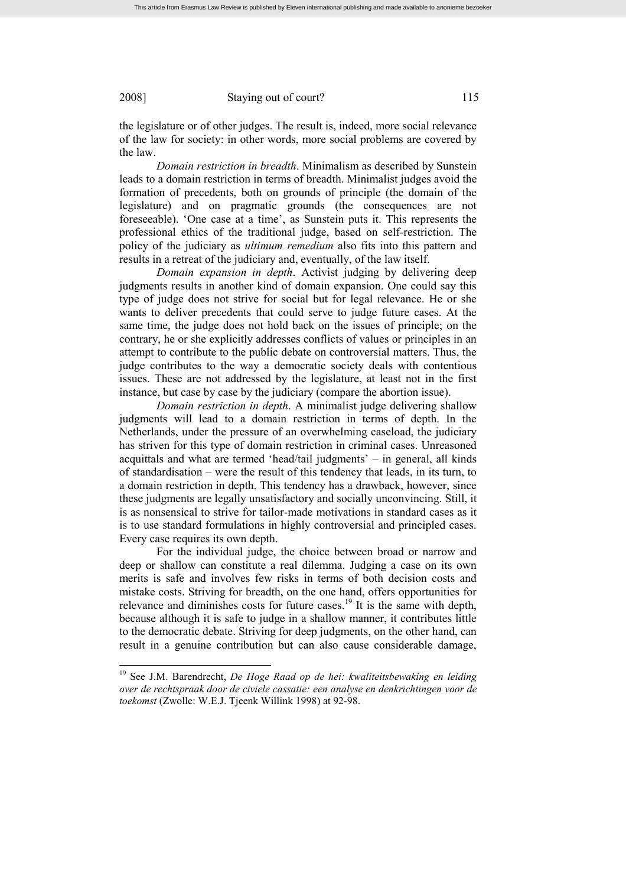the legislature or of other judges. The result is, indeed, more social relevance of the law for society: in other words, more social problems are covered by the law.

*Domain restriction in breadth*. Minimalism as described by Sunstein leads to a domain restriction in terms of breadth. Minimalist judges avoid the formation of precedents, both on grounds of principle (the domain of the legislature) and on pragmatic grounds (the consequences are not foreseeable). 'One case at a time', as Sunstein puts it. This represents the professional ethics of the traditional judge, based on self-restriction. The policy of the judiciary as *ultimum remedium* also fits into this pattern and results in a retreat of the judiciary and, eventually, of the law itself.

*Domain expansion in depth*. Activist judging by delivering deep judgments results in another kind of domain expansion. One could say this type of judge does not strive for social but for legal relevance. He or she wants to deliver precedents that could serve to judge future cases. At the same time, the judge does not hold back on the issues of principle; on the contrary, he or she explicitly addresses conflicts of values or principles in an attempt to contribute to the public debate on controversial matters. Thus, the judge contributes to the way a democratic society deals with contentious issues. These are not addressed by the legislature, at least not in the first instance, but case by case by the judiciary (compare the abortion issue).

*Domain restriction in depth*. A minimalist judge delivering shallow judgments will lead to a domain restriction in terms of depth. In the Netherlands, under the pressure of an overwhelming caseload, the judiciary has striven for this type of domain restriction in criminal cases. Unreasoned acquittals and what are termed 'head/tail judgments' – in general, all kinds of standardisation – were the result of this tendency that leads, in its turn, to a domain restriction in depth. This tendency has a drawback, however, since these judgments are legally unsatisfactory and socially unconvincing. Still, it is as nonsensical to strive for tailor-made motivations in standard cases as it is to use standard formulations in highly controversial and principled cases. Every case requires its own depth.

For the individual judge, the choice between broad or narrow and deep or shallow can constitute a real dilemma. Judging a case on its own merits is safe and involves few risks in terms of both decision costs and mistake costs. Striving for breadth, on the one hand, offers opportunities for relevance and diminishes costs for future cases.<sup>19</sup> It is the same with depth, because although it is safe to judge in a shallow manner, it contributes little to the democratic debate. Striving for deep judgments, on the other hand, can result in a genuine contribution but can also cause considerable damage,

<sup>19</sup> See J.M. Barendrecht, *De Hoge Raad op de hei: kwaliteitsbewaking en leiding over de rechtspraak door de civiele cassatie: een analyse en denkrichtingen voor de toekomst* (Zwolle: W.E.J. Tjeenk Willink 1998) at 92-98.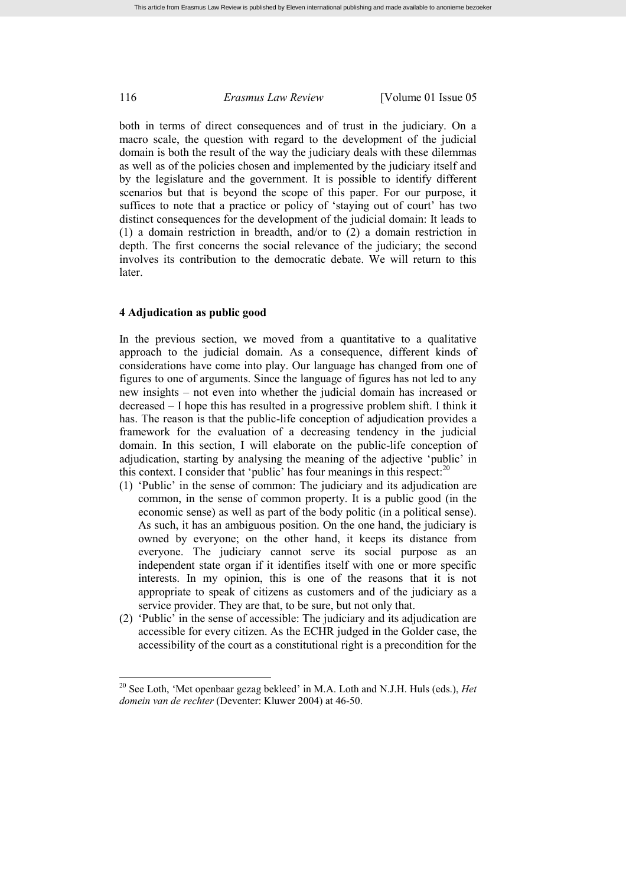both in terms of direct consequences and of trust in the judiciary. On a macro scale, the question with regard to the development of the judicial domain is both the result of the way the judiciary deals with these dilemmas as well as of the policies chosen and implemented by the judiciary itself and by the legislature and the government. It is possible to identify different scenarios but that is beyond the scope of this paper. For our purpose, it suffices to note that a practice or policy of 'staying out of court' has two distinct consequences for the development of the judicial domain: It leads to (1) a domain restriction in breadth, and/or to (2) a domain restriction in depth. The first concerns the social relevance of the judiciary; the second involves its contribution to the democratic debate. We will return to this later.

#### **4 Adjudication as public good**

In the previous section, we moved from a quantitative to a qualitative approach to the judicial domain. As a consequence, different kinds of considerations have come into play. Our language has changed from one of figures to one of arguments. Since the language of figures has not led to any new insights – not even into whether the judicial domain has increased or decreased – I hope this has resulted in a progressive problem shift. I think it has. The reason is that the public-life conception of adjudication provides a framework for the evaluation of a decreasing tendency in the judicial domain. In this section, I will elaborate on the public-life conception of adjudication, starting by analysing the meaning of the adjective 'public' in this context. I consider that 'public' has four meanings in this respect:<sup>20</sup>

- (1) 'Public' in the sense of common: The judiciary and its adjudication are common, in the sense of common property. It is a public good (in the economic sense) as well as part of the body politic (in a political sense). As such, it has an ambiguous position. On the one hand, the judiciary is owned by everyone; on the other hand, it keeps its distance from everyone. The judiciary cannot serve its social purpose as an independent state organ if it identifies itself with one or more specific interests. In my opinion, this is one of the reasons that it is not appropriate to speak of citizens as customers and of the judiciary as a service provider. They are that, to be sure, but not only that.
- (2) 'Public' in the sense of accessible: The judiciary and its adjudication are accessible for every citizen. As the ECHR judged in the Golder case, the accessibility of the court as a constitutional right is a precondition for the

<sup>20</sup> See Loth, 'Met openbaar gezag bekleed' in M.A. Loth and N.J.H. Huls (eds.), *Het domein van de rechter* (Deventer: Kluwer 2004) at 46-50.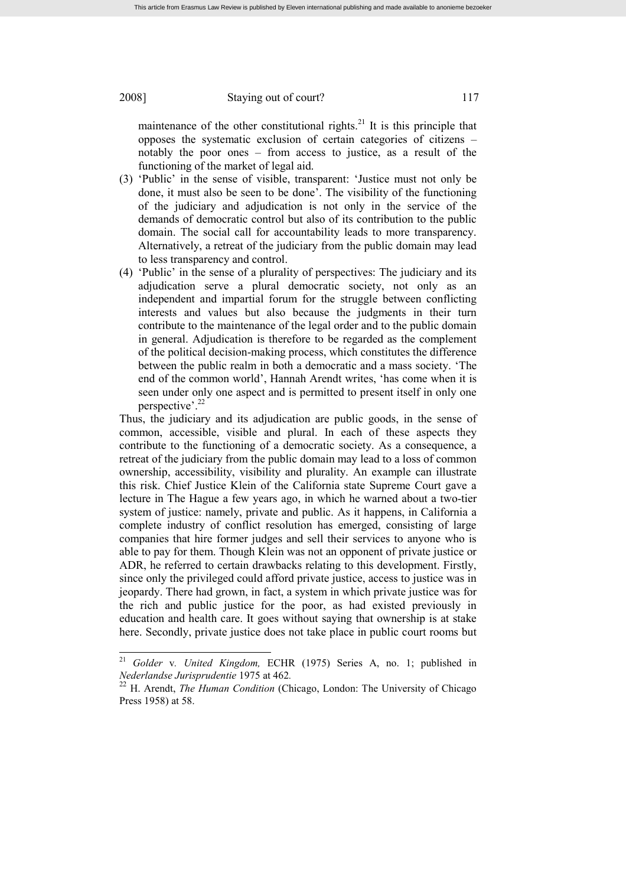maintenance of the other constitutional rights.<sup>21</sup> It is this principle that opposes the systematic exclusion of certain categories of citizens – notably the poor ones – from access to justice, as a result of the functioning of the market of legal aid.

- (3) 'Public' in the sense of visible, transparent: 'Justice must not only be done, it must also be seen to be done'. The visibility of the functioning of the judiciary and adjudication is not only in the service of the demands of democratic control but also of its contribution to the public domain. The social call for accountability leads to more transparency. Alternatively, a retreat of the judiciary from the public domain may lead to less transparency and control.
- (4) 'Public' in the sense of a plurality of perspectives: The judiciary and its adjudication serve a plural democratic society, not only as an independent and impartial forum for the struggle between conflicting interests and values but also because the judgments in their turn contribute to the maintenance of the legal order and to the public domain in general. Adjudication is therefore to be regarded as the complement of the political decision-making process, which constitutes the difference between the public realm in both a democratic and a mass society. 'The end of the common world', Hannah Arendt writes, 'has come when it is seen under only one aspect and is permitted to present itself in only one perspective'. 22

Thus, the judiciary and its adjudication are public goods, in the sense of common, accessible, visible and plural. In each of these aspects they contribute to the functioning of a democratic society. As a consequence, a retreat of the judiciary from the public domain may lead to a loss of common ownership, accessibility, visibility and plurality. An example can illustrate this risk. Chief Justice Klein of the California state Supreme Court gave a lecture in The Hague a few years ago, in which he warned about a two-tier system of justice: namely, private and public. As it happens, in California a complete industry of conflict resolution has emerged, consisting of large companies that hire former judges and sell their services to anyone who is able to pay for them. Though Klein was not an opponent of private justice or ADR, he referred to certain drawbacks relating to this development. Firstly, since only the privileged could afford private justice, access to justice was in jeopardy. There had grown, in fact, a system in which private justice was for the rich and public justice for the poor, as had existed previously in education and health care. It goes without saying that ownership is at stake here. Secondly, private justice does not take place in public court rooms but

<sup>21</sup> *Golder* v*. United Kingdom,* ECHR (1975) Series A, no. 1; published in *Nederlandse Jurisprudentie* 1975 at 462*.*

<sup>&</sup>lt;sup>22</sup> H. Arendt, *The Human Condition* (Chicago, London: The University of Chicago Press 1958) at 58.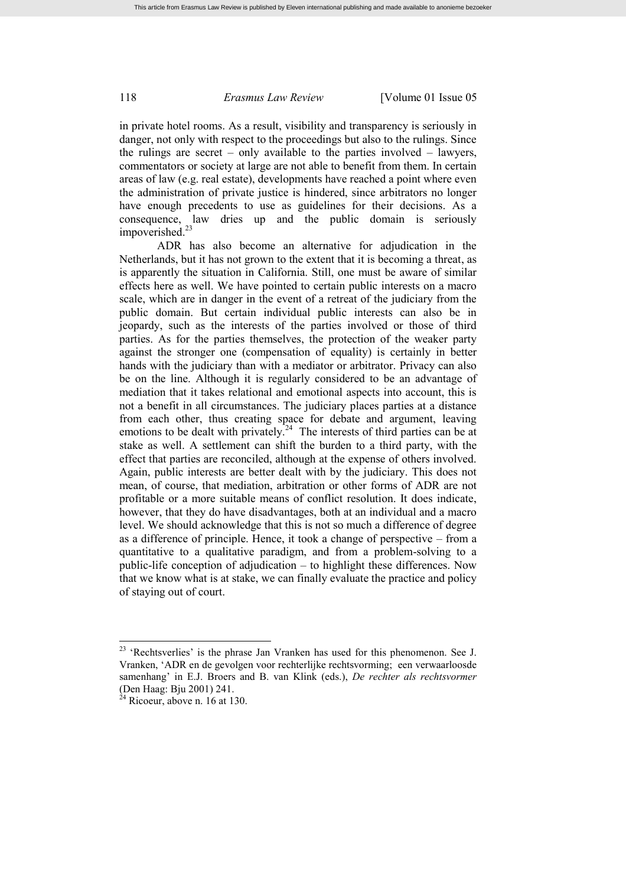in private hotel rooms. As a result, visibility and transparency is seriously in danger, not only with respect to the proceedings but also to the rulings. Since the rulings are secret – only available to the parties involved – lawyers, commentators or society at large are not able to benefit from them. In certain areas of law (e.g. real estate), developments have reached a point where even the administration of private justice is hindered, since arbitrators no longer have enough precedents to use as guidelines for their decisions. As a consequence, law dries up and the public domain is seriously impoverished.<sup>23</sup>

ADR has also become an alternative for adjudication in the Netherlands, but it has not grown to the extent that it is becoming a threat, as is apparently the situation in California. Still, one must be aware of similar effects here as well. We have pointed to certain public interests on a macro scale, which are in danger in the event of a retreat of the judiciary from the public domain. But certain individual public interests can also be in jeopardy, such as the interests of the parties involved or those of third parties. As for the parties themselves, the protection of the weaker party against the stronger one (compensation of equality) is certainly in better hands with the judiciary than with a mediator or arbitrator. Privacy can also be on the line. Although it is regularly considered to be an advantage of mediation that it takes relational and emotional aspects into account, this is not a benefit in all circumstances. The judiciary places parties at a distance from each other, thus creating space for debate and argument, leaving emotions to be dealt with privately.<sup>24</sup> The interests of third parties can be at stake as well. A settlement can shift the burden to a third party, with the effect that parties are reconciled, although at the expense of others involved. Again, public interests are better dealt with by the judiciary. This does not mean, of course, that mediation, arbitration or other forms of ADR are not profitable or a more suitable means of conflict resolution. It does indicate, however, that they do have disadvantages, both at an individual and a macro level. We should acknowledge that this is not so much a difference of degree as a difference of principle. Hence, it took a change of perspective – from a quantitative to a qualitative paradigm, and from a problem-solving to a public-life conception of adjudication – to highlight these differences. Now that we know what is at stake, we can finally evaluate the practice and policy of staying out of court.

<sup>&</sup>lt;sup>23</sup> 'Rechtsverlies' is the phrase Jan Vranken has used for this phenomenon. See J. Vranken, 'ADR en de gevolgen voor rechterlijke rechtsvorming; een verwaarloosde samenhang' in E.J. Broers and B. van Klink (eds.), *De rechter als rechtsvormer* (Den Haag: Bju 2001) 241.

 $24$  Ricoeur, above n. 16 at 130.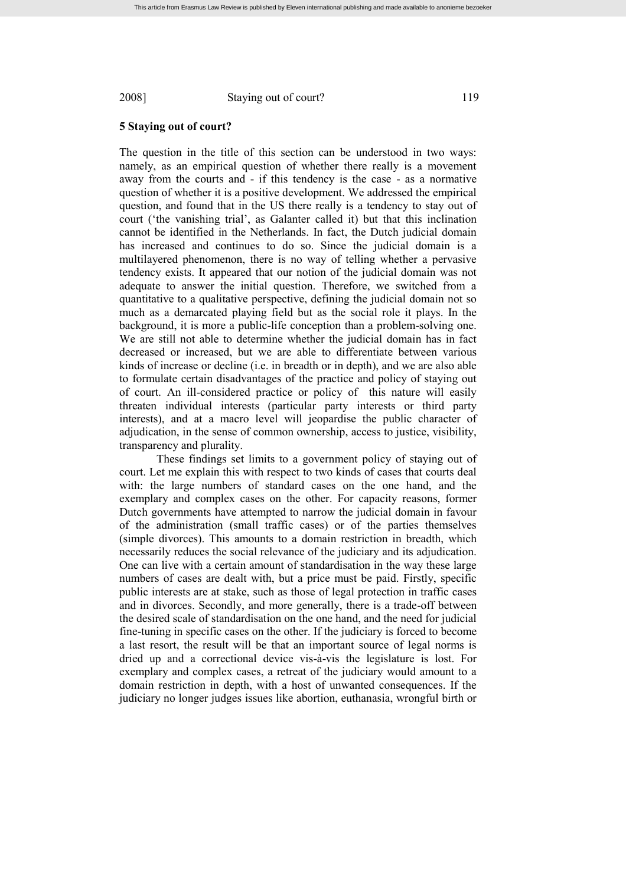## **5 Staying out of court?**

The question in the title of this section can be understood in two ways: namely, as an empirical question of whether there really is a movement away from the courts and - if this tendency is the case - as a normative question of whether it is a positive development. We addressed the empirical question, and found that in the US there really is a tendency to stay out of court ('the vanishing trial', as Galanter called it) but that this inclination cannot be identified in the Netherlands. In fact, the Dutch judicial domain has increased and continues to do so. Since the judicial domain is a multilayered phenomenon, there is no way of telling whether a pervasive tendency exists. It appeared that our notion of the judicial domain was not adequate to answer the initial question. Therefore, we switched from a quantitative to a qualitative perspective, defining the judicial domain not so much as a demarcated playing field but as the social role it plays. In the background, it is more a public-life conception than a problem-solving one. We are still not able to determine whether the judicial domain has in fact decreased or increased, but we are able to differentiate between various kinds of increase or decline (i.e. in breadth or in depth), and we are also able to formulate certain disadvantages of the practice and policy of staying out of court. An ill-considered practice or policy of this nature will easily threaten individual interests (particular party interests or third party interests), and at a macro level will jeopardise the public character of adjudication, in the sense of common ownership, access to justice, visibility, transparency and plurality.

These findings set limits to a government policy of staying out of court. Let me explain this with respect to two kinds of cases that courts deal with: the large numbers of standard cases on the one hand, and the exemplary and complex cases on the other. For capacity reasons, former Dutch governments have attempted to narrow the judicial domain in favour of the administration (small traffic cases) or of the parties themselves (simple divorces). This amounts to a domain restriction in breadth, which necessarily reduces the social relevance of the judiciary and its adjudication. One can live with a certain amount of standardisation in the way these large numbers of cases are dealt with, but a price must be paid. Firstly, specific public interests are at stake, such as those of legal protection in traffic cases and in divorces. Secondly, and more generally, there is a trade-off between the desired scale of standardisation on the one hand, and the need for judicial fine-tuning in specific cases on the other. If the judiciary is forced to become a last resort, the result will be that an important source of legal norms is dried up and a correctional device vis-à-vis the legislature is lost. For exemplary and complex cases, a retreat of the judiciary would amount to a domain restriction in depth, with a host of unwanted consequences. If the judiciary no longer judges issues like abortion, euthanasia, wrongful birth or